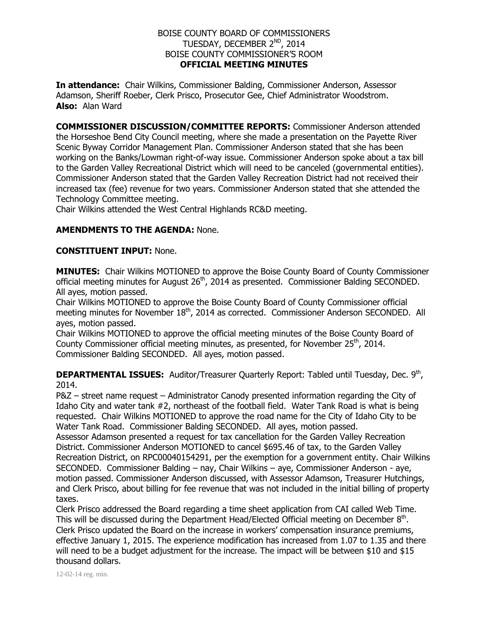#### BOISE COUNTY BOARD OF COMMISSIONERS TUESDAY, DECEMBER 2<sup>ND</sup>, 2014 BOISE COUNTY COMMISSIONER'S ROOM **OFFICIAL MEETING MINUTES**

**In attendance:** Chair Wilkins, Commissioner Balding, Commissioner Anderson, Assessor Adamson, Sheriff Roeber, Clerk Prisco, Prosecutor Gee, Chief Administrator Woodstrom. **Also:** Alan Ward

**COMMISSIONER DISCUSSION/COMMITTEE REPORTS:** Commissioner Anderson attended the Horseshoe Bend City Council meeting, where she made a presentation on the Payette River Scenic Byway Corridor Management Plan. Commissioner Anderson stated that she has been working on the Banks/Lowman right-of-way issue. Commissioner Anderson spoke about a tax bill to the Garden Valley Recreational District which will need to be canceled (governmental entities). Commissioner Anderson stated that the Garden Valley Recreation District had not received their increased tax (fee) revenue for two years. Commissioner Anderson stated that she attended the Technology Committee meeting.

Chair Wilkins attended the West Central Highlands RC&D meeting.

# **AMENDMENTS TO THE AGENDA:** None.

## **CONSTITUENT INPUT:** None.

**MINUTES:** Chair Wilkins MOTIONED to approve the Boise County Board of County Commissioner official meeting minutes for August  $26<sup>th</sup>$ , 2014 as presented. Commissioner Balding SECONDED. All ayes, motion passed.

Chair Wilkins MOTIONED to approve the Boise County Board of County Commissioner official meeting minutes for November 18<sup>th</sup>, 2014 as corrected. Commissioner Anderson SECONDED. All ayes, motion passed.

Chair Wilkins MOTIONED to approve the official meeting minutes of the Boise County Board of County Commissioner official meeting minutes, as presented, for November  $25<sup>th</sup>$ , 2014. Commissioner Balding SECONDED. All ayes, motion passed.

**DEPARTMENTAL ISSUES:** Auditor/Treasurer Quarterly Report: Tabled until Tuesday, Dec. 9<sup>th</sup>, 2014.

P&Z – street name request – Administrator Canody presented information regarding the City of Idaho City and water tank #2, northeast of the football field. Water Tank Road is what is being requested. Chair Wilkins MOTIONED to approve the road name for the City of Idaho City to be Water Tank Road. Commissioner Balding SECONDED. All ayes, motion passed.

Assessor Adamson presented a request for tax cancellation for the Garden Valley Recreation District. Commissioner Anderson MOTIONED to cancel \$695.46 of tax, to the Garden Valley Recreation District, on RPC00040154291, per the exemption for a government entity. Chair Wilkins SECONDED. Commissioner Balding – nay, Chair Wilkins – aye, Commissioner Anderson - aye, motion passed. Commissioner Anderson discussed, with Assessor Adamson, Treasurer Hutchings, and Clerk Prisco, about billing for fee revenue that was not included in the initial billing of property taxes.

Clerk Prisco addressed the Board regarding a time sheet application from CAI called Web Time. This will be discussed during the Department Head/Elected Official meeting on December  $8<sup>th</sup>$ . Clerk Prisco updated the Board on the increase in workers' compensation insurance premiums, effective January 1, 2015. The experience modification has increased from 1.07 to 1.35 and there will need to be a budget adjustment for the increase. The impact will be between \$10 and \$15 thousand dollars.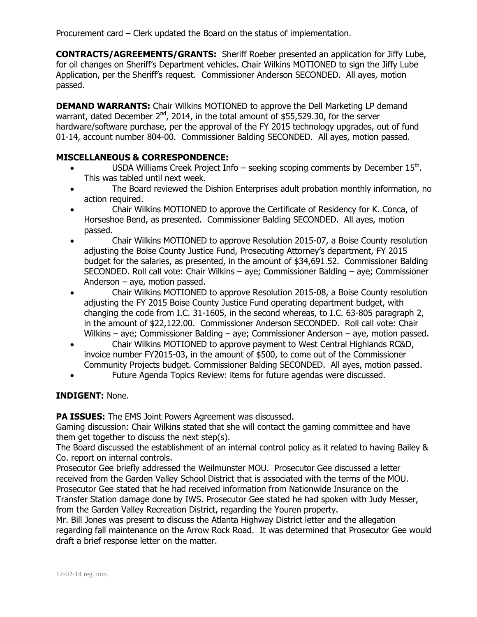Procurement card – Clerk updated the Board on the status of implementation.

**CONTRACTS/AGREEMENTS/GRANTS:** Sheriff Roeber presented an application for Jiffy Lube, for oil changes on Sheriff's Department vehicles. Chair Wilkins MOTIONED to sign the Jiffy Lube Application, per the Sheriff's request. Commissioner Anderson SECONDED. All ayes, motion passed.

**DEMAND WARRANTS:** Chair Wilkins MOTIONED to approve the Dell Marketing LP demand warrant, dated December  $2^{nd}$ , 2014, in the total amount of \$55,529.30, for the server hardware/software purchase, per the approval of the FY 2015 technology upgrades, out of fund 01-14, account number 804-00. Commissioner Balding SECONDED. All ayes, motion passed.

## **MISCELLANEOUS & CORRESPONDENCE:**

- USDA Williams Creek Project Info seeking scoping comments by December  $15<sup>th</sup>$ . This was tabled until next week.
- The Board reviewed the Dishion Enterprises adult probation monthly information, no action required.
- Chair Wilkins MOTIONED to approve the Certificate of Residency for K. Conca, of Horseshoe Bend, as presented. Commissioner Balding SECONDED. All ayes, motion passed.
- Chair Wilkins MOTIONED to approve Resolution 2015-07, a Boise County resolution adjusting the Boise County Justice Fund, Prosecuting Attorney's department, FY 2015 budget for the salaries, as presented, in the amount of \$34,691.52. Commissioner Balding SECONDED. Roll call vote: Chair Wilkins – aye; Commissioner Balding – aye; Commissioner Anderson – aye, motion passed.
- Chair Wilkins MOTIONED to approve Resolution 2015-08, a Boise County resolution adjusting the FY 2015 Boise County Justice Fund operating department budget, with changing the code from I.C. 31-1605, in the second whereas, to I.C. 63-805 paragraph 2, in the amount of \$22,122.00. Commissioner Anderson SECONDED. Roll call vote: Chair Wilkins – aye; Commissioner Balding – aye; Commissioner Anderson – aye, motion passed.
- Chair Wilkins MOTIONED to approve payment to West Central Highlands RC&D, invoice number FY2015-03, in the amount of \$500, to come out of the Commissioner Community Projects budget. Commissioner Balding SECONDED. All ayes, motion passed.
- Future Agenda Topics Review: items for future agendas were discussed.

#### **INDIGENT:** None.

**PA ISSUES:** The EMS Joint Powers Agreement was discussed.

Gaming discussion: Chair Wilkins stated that she will contact the gaming committee and have them get together to discuss the next step(s).

The Board discussed the establishment of an internal control policy as it related to having Bailey & Co. report on internal controls.

Prosecutor Gee briefly addressed the Weilmunster MOU. Prosecutor Gee discussed a letter received from the Garden Valley School District that is associated with the terms of the MOU. Prosecutor Gee stated that he had received information from Nationwide Insurance on the Transfer Station damage done by IWS. Prosecutor Gee stated he had spoken with Judy Messer, from the Garden Valley Recreation District, regarding the Youren property.

Mr. Bill Jones was present to discuss the Atlanta Highway District letter and the allegation regarding fall maintenance on the Arrow Rock Road. It was determined that Prosecutor Gee would draft a brief response letter on the matter.